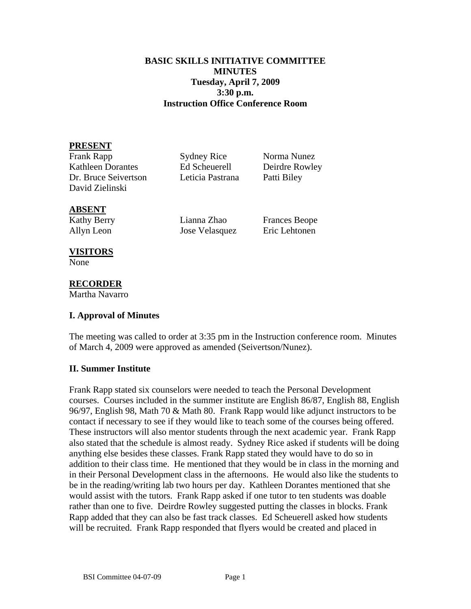### **BASIC SKILLS INITIATIVE COMMITTEE MINUTES Tuesday, April 7, 2009 3:30 p.m. Instruction Office Conference Room**

### **PRESENT**

Frank Rapp Sydney Rice Norma Nunez Kathleen Dorantes Ed Scheuerell Deirdre Rowley Dr. Bruce Seivertson Leticia Pastrana Patti Biley David Zielinski

#### **ABSENT**

Kathy Berry Lianna Zhao Frances Beope Allyn Leon Jose Velasquez Eric Lehtonen

#### **VISITORS**

None

# **RECORDER**

Martha Navarro

### **I. Approval of Minutes**

The meeting was called to order at 3:35 pm in the Instruction conference room. Minutes of March 4, 2009 were approved as amended (Seivertson/Nunez).

### **II. Summer Institute**

Frank Rapp stated six counselors were needed to teach the Personal Development courses. Courses included in the summer institute are English 86/87, English 88, English 96/97, English 98, Math 70 & Math 80. Frank Rapp would like adjunct instructors to be contact if necessary to see if they would like to teach some of the courses being offered. These instructors will also mentor students through the next academic year. Frank Rapp also stated that the schedule is almost ready. Sydney Rice asked if students will be doing anything else besides these classes. Frank Rapp stated they would have to do so in addition to their class time. He mentioned that they would be in class in the morning and in their Personal Development class in the afternoons. He would also like the students to be in the reading/writing lab two hours per day. Kathleen Dorantes mentioned that she would assist with the tutors. Frank Rapp asked if one tutor to ten students was doable rather than one to five. Deirdre Rowley suggested putting the classes in blocks. Frank Rapp added that they can also be fast track classes. Ed Scheuerell asked how students will be recruited. Frank Rapp responded that flyers would be created and placed in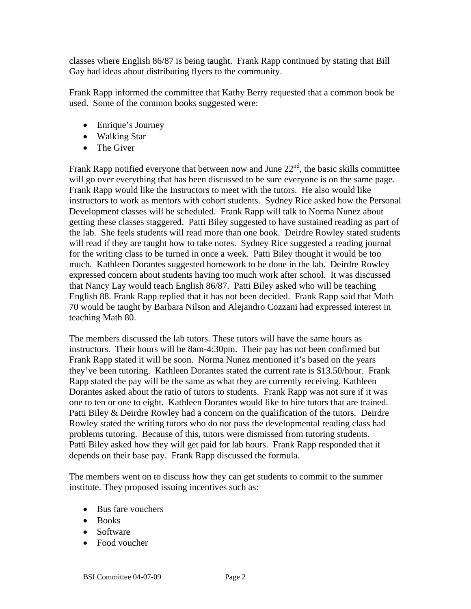classes where English 86/87 is being taught. Frank Rapp continued by stating that Bill Gay had ideas about distributing flyers to the community.

Frank Rapp informed the committee that Kathy Berry requested that a common book be used. Some of the common books suggested were:

- Enrique's Journey
- Walking Star
- The Giver

Frank Rapp notified everyone that between now and June  $22<sup>nd</sup>$ , the basic skills committee will go over everything that has been discussed to be sure everyone is on the same page. Frank Rapp would like the Instructors to meet with the tutors. He also would like instructors to work as mentors with cohort students. Sydney Rice asked how the Personal Development classes will be scheduled. Frank Rapp will talk to Norma Nunez about getting these classes staggered. Patti Biley suggested to have sustained reading as part of the lab. She feels students will read more than one book. Deirdre Rowley stated students will read if they are taught how to take notes. Sydney Rice suggested a reading journal for the writing class to be turned in once a week. Patti Biley thought it would be too much. Kathleen Dorantes suggested homework to be done in the lab. Deirdre Rowley expressed concern about students having too much work after school. It was discussed that Nancy Lay would teach English 86/87. Patti Biley asked who will be teaching English 88. Frank Rapp replied that it has not been decided. Frank Rapp said that Math 70 would be taught by Barbara Nilson and Alejandro Cozzani had expressed interest in teaching Math 80.

The members discussed the lab tutors. These tutors will have the same hours as instructors. Their hours will be 8am-4:30pm. Their pay has not been confirmed but Frank Rapp stated it will be soon. Norma Nunez mentioned it's based on the years they've been tutoring. Kathleen Dorantes stated the current rate is \$13.50/hour. Frank Rapp stated the pay will be the same as what they are currently receiving. Kathleen Dorantes asked about the ratio of tutors to students. Frank Rapp was not sure if it was one to ten or one to eight. Kathleen Dorantes would like to hire tutors that are trained. Patti Biley & Deirdre Rowley had a concern on the qualification of the tutors. Deirdre Rowley stated the writing tutors who do not pass the developmental reading class had problems tutoring. Because of this, tutors were dismissed from tutoring students. Patti Biley asked how they will get paid for lab hours. Frank Rapp responded that it depends on their base pay. Frank Rapp discussed the formula.

The members went on to discuss how they can get students to commit to the summer institute. They proposed issuing incentives such as:

- Bus fare vouchers
- Books
- Software
- Food voucher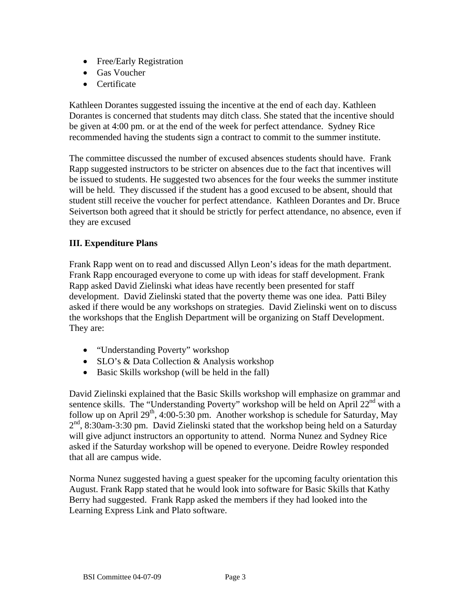- Free/Early Registration
- Gas Voucher
- Certificate

Kathleen Dorantes suggested issuing the incentive at the end of each day. Kathleen Dorantes is concerned that students may ditch class. She stated that the incentive should be given at 4:00 pm. or at the end of the week for perfect attendance. Sydney Rice recommended having the students sign a contract to commit to the summer institute.

The committee discussed the number of excused absences students should have. Frank Rapp suggested instructors to be stricter on absences due to the fact that incentives will be issued to students. He suggested two absences for the four weeks the summer institute will be held. They discussed if the student has a good excused to be absent, should that student still receive the voucher for perfect attendance. Kathleen Dorantes and Dr. Bruce Seivertson both agreed that it should be strictly for perfect attendance, no absence, even if they are excused

# **III. Expenditure Plans**

Frank Rapp went on to read and discussed Allyn Leon's ideas for the math department. Frank Rapp encouraged everyone to come up with ideas for staff development. Frank Rapp asked David Zielinski what ideas have recently been presented for staff development. David Zielinski stated that the poverty theme was one idea. Patti Biley asked if there would be any workshops on strategies. David Zielinski went on to discuss the workshops that the English Department will be organizing on Staff Development. They are:

- "Understanding Poverty" workshop
- SLO's & Data Collection & Analysis workshop
- Basic Skills workshop (will be held in the fall)

David Zielinski explained that the Basic Skills workshop will emphasize on grammar and sentence skills. The "Understanding Poverty" workshop will be held on April  $22<sup>nd</sup>$  with a follow up on April  $29<sup>th</sup>$ , 4:00-5:30 pm. Another workshop is schedule for Saturday, May  $2<sup>nd</sup>$ , 8:30am-3:30 pm. David Zielinski stated that the workshop being held on a Saturday will give adjunct instructors an opportunity to attend. Norma Nunez and Sydney Rice asked if the Saturday workshop will be opened to everyone. Deidre Rowley responded that all are campus wide.

Norma Nunez suggested having a guest speaker for the upcoming faculty orientation this August. Frank Rapp stated that he would look into software for Basic Skills that Kathy Berry had suggested. Frank Rapp asked the members if they had looked into the Learning Express Link and Plato software.